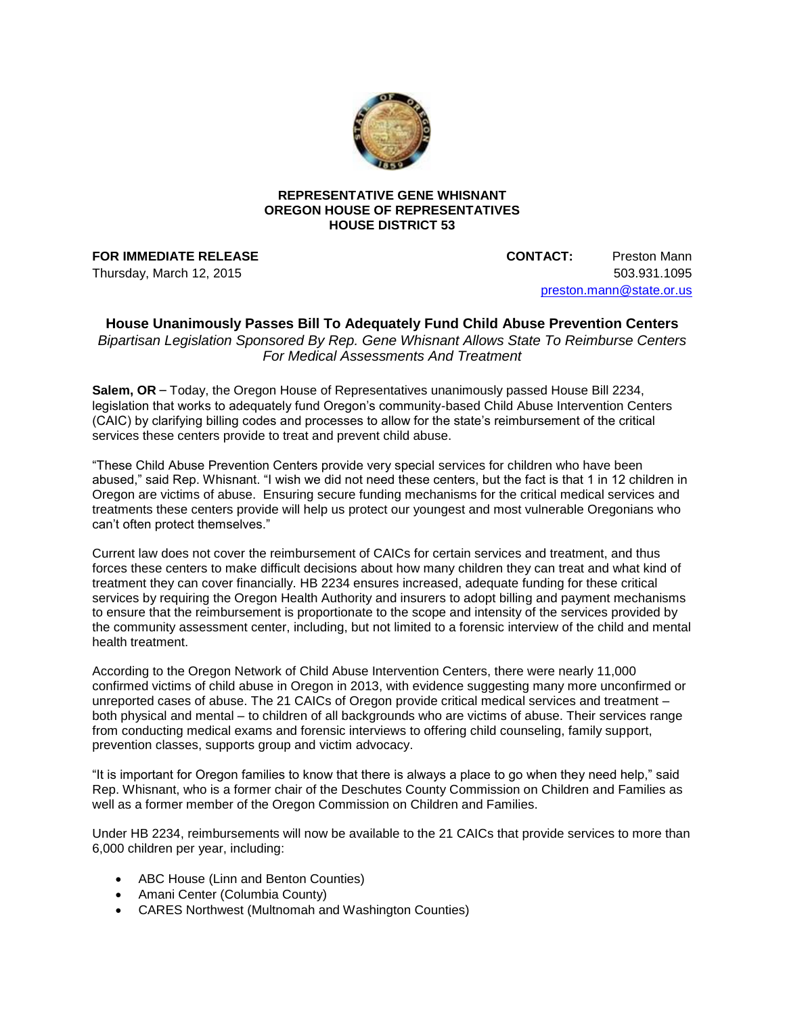

## **REPRESENTATIVE GENE WHISNANT OREGON HOUSE OF REPRESENTATIVES HOUSE DISTRICT 53**

**FOR IMMEDIATE RELEASE CONTACT:** Preston Mann Thursday, March 12, 2015 503.931.1095 [preston.mann@state.or.us](mailto:preston.mann@state.or.us)

## **House Unanimously Passes Bill To Adequately Fund Child Abuse Prevention Centers** *Bipartisan Legislation Sponsored By Rep. Gene Whisnant Allows State To Reimburse Centers For Medical Assessments And Treatment*

**Salem, OR** – Today, the Oregon House of Representatives unanimously passed House Bill 2234, legislation that works to adequately fund Oregon's community-based Child Abuse Intervention Centers (CAIC) by clarifying billing codes and processes to allow for the state's reimbursement of the critical services these centers provide to treat and prevent child abuse.

"These Child Abuse Prevention Centers provide very special services for children who have been abused," said Rep. Whisnant. "I wish we did not need these centers, but the fact is that 1 in 12 children in Oregon are victims of abuse. Ensuring secure funding mechanisms for the critical medical services and treatments these centers provide will help us protect our youngest and most vulnerable Oregonians who can't often protect themselves."

Current law does not cover the reimbursement of CAICs for certain services and treatment, and thus forces these centers to make difficult decisions about how many children they can treat and what kind of treatment they can cover financially. HB 2234 ensures increased, adequate funding for these critical services by requiring the Oregon Health Authority and insurers to adopt billing and payment mechanisms to ensure that the reimbursement is proportionate to the scope and intensity of the services provided by the community assessment center, including, but not limited to a forensic interview of the child and mental health treatment.

According to the Oregon Network of Child Abuse Intervention Centers, there were nearly 11,000 confirmed victims of child abuse in Oregon in 2013, with evidence suggesting many more unconfirmed or unreported cases of abuse. The 21 CAICs of Oregon provide critical medical services and treatment – both physical and mental – to children of all backgrounds who are victims of abuse. Their services range from conducting medical exams and forensic interviews to offering child counseling, family support, prevention classes, supports group and victim advocacy.

"It is important for Oregon families to know that there is always a place to go when they need help," said Rep. Whisnant, who is a former chair of the Deschutes County Commission on Children and Families as well as a former member of the Oregon Commission on Children and Families.

Under HB 2234, reimbursements will now be available to the 21 CAICs that provide services to more than 6,000 children per year, including:

- ABC House (Linn and Benton Counties)
- Amani Center (Columbia County)
- CARES Northwest (Multnomah and Washington Counties)